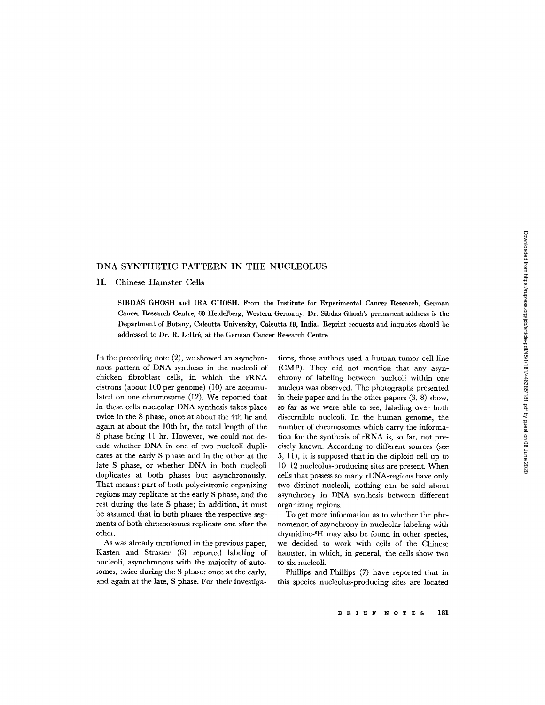## DNA SYNTHETIC PATTERN IN THE NUCLEOLUS

## II . Chinese Hamster Cells

SIBDAS GHOSH and IRA GHOSH . From the Institute for Experimental Cancer Research, German Cancer Research Centre, 69 Heidelberg, Western Germany. Dr. Sibdas Ghosh's permanent address is the Department of Botany, Calcutta University, Calcutta-19, India . Reprint requests and inquiries should be addressed to Dr. R. Lettré, at the German Cancer Research Centre

In the preceding note (2), we showed an asynchronous pattern of DNA synthesis in the nucleoli of chicken fibroblast cells, in which the rRNA cistrons (about 100 per genome) (10) are accumulated on one chromosome (12). We reported that in these cells nucleolar DNA synthesis takes place twice in the S phase, once at about the 4th hr and again at about the 10th hr, the total length of the S phase being 11 hr. However, we could not decide whether DNA in one of two nucleoli duplicates at the early S phase and in the other at the late S phase, or whether DNA in both nucleoli duplicates at both phases but asynchronously. That means: part of both polycistronic organizing regions may replicate at the early S phase, and the rest during the late S phase; in addition, it must be assumed that in both phases the respective segments of both chromosomes replicate one after the other.

As was already mentioned in the previous paper, Kasten and Strasser (6) reported labeling of nucleoli, asynchronous with the majority of autosomes, twice during the S phase: once at the early, and again at the late, S phase. For their investiga-

tions, those authors used a human tumor cell line (CMP). They did not mention that any asynchrony of labeling between nucleoli within one nucleus was observed. The photographs presented in their paper and in the other papers (3, 8) show, so far as we were able to see, labeling over both discernible nucleoli. In the human genome, the number of chromosomes which carry the information for the synthesis of rRNA is, so far, not precisely known. According to different sources (see 5, 11), it is supposed that in the diploid cell up to 10-12 nucleolus-producing sites are present. When cells that possess so many rDNA-regions have only two distinct nucleoli, nothing can be said about asynchrony in DNA synthesis between different organizing regions .

To get more information as to whether the phenomenon of asynchrony in nucleolar labeling with thymidine 3H may also be found in other species, we decided to work with cells of the Chinese hamster, in which, in general, the cells show two to six nucleoli.

Phillips and Phillips (7) have reported that in this species nucleolus-producing sites are located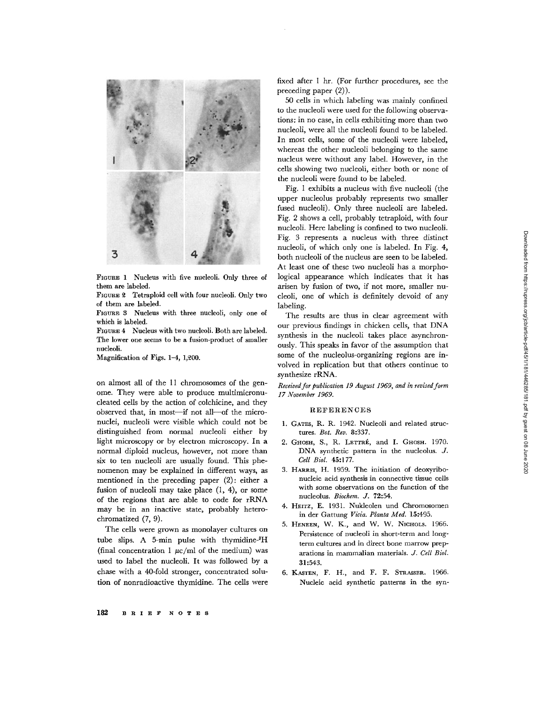

FIGURE <sup>1</sup> Nucleus with five nucleoli . Only three of them are labeled.

FIGURE 2 Tetraploid cell with four nucleoli . Only two of them are labeled .

FIGURE 3 Nucleus with three nucleoli, only one of which is labeled.

FIGURE 4 Nucleus with two nucleoli. Both are labeled. The lower one seems to be a fusion-product of smaller nucleoli.

Magnification of Figs. 1-4, 1,200.

on almost all of the 11 chromosomes of the genome. They were able to produce multimicronucleated cells by the action of colchicine, and they observed that, in most-if not all-of the micronuclei, nucleoli were visible which could not be distinguished from normal nucleoli either by light microscopy or by electron microscopy . In a normal diploid nucleus, however, not more than six to ten nucleoli are usually found. This phenomenon may be explained in different ways, as mentioned in the preceding paper (2): either a fusion of nucleoli may take place (1, 4), or some of the regions that are able to code for rRNA may be in an inactive state, probably heterochromatized  $(7, 9)$ .

The cells were grown as monolayer cultures on tube slips. A 5-min pulse with thymidine- ${}^{3}H$ (final concentration 1  $\mu$ c/ml of the medium) was used to label the nucleoli. It was followed by a chase with a 40-fold stronger, concentrated solution of nonradioactive thymidine. The cells were fixed after 1 hr. (For further procedures, see the preceding paper  $(2)$ ).

50 cells in which labeling was mainly confined to the nucleoli were used for the following observations: in no case, in cells exhibiting more than two nucleoli, were all the nucleoli found to be labeled. In most cells, some of the nucleoli were labeled, whereas the other nucleoli belonging to the same nucleus were without any label. However, in the cells showing two nucleoli, either both or none of the nucleoli were found to be labeled.

Fig. 1 exhibits a nucleus with five nucleoli (the upper nucleolus probably represents two smaller fused nucleoli). Only three nucleoli are labeled. Fig. 2 shows a cell, probably tetraploid, with four nucleoli. Here labeling is confined to two nucleoli. Fig. 3 represents a nucleus with three distinct nucleoli, of which only one is labeled. In Fig. 4, both nucleoli of the nucleus are seen to be labeled. At least one of these two nucleoli has a morphological appearance which indicates that it has arisen by fusion of two, if not more, smaller nucleoli, one of which is definitely devoid of any labeling.

The results are thus in clear agreement with our previous findings in chicken cells, that DNA synthesis in the nucleoli takes place asynchronously. This speaks in favor of the assumption that some of the nucleolus-organizing regions are involved in replication but that others continue to synthesize rRNA.

Received for publication 19 August 1969, and in revised form 17 November 1969.

## REFERENCES

- 1. GATES, R. R. 1942. Nucleoli and related structures. Bot. Rev. 8:337.
- 2. GHOSH, S., R. LETTRÉ, and I. GHOSH. 1970. DNA synthetic pattern in the nucleolus. J. Cell Biol. 45:177.
- 3. HARRIS, H. 1959. The initiation of deoxyribonucleic acid synthesis in connective tissue cells with some observations on the function of the nucleolus. Biochem. J. 72:54.
- 4. HEITZ, E. 1931. Nukleolen und Chromosomen in der Gattung Vicia. Planta Med. 15:495.
- 5. HENEEN, W. K., and W. W. NICHOLS. 1966. Persistence of nucleoli in short-term and longterm cultures and in direct bone marrow preparations in mammalian materials. J. Cell Biol. 31 :543.
- 6. KASTEN, F. H., and F. F. STRASSER. 1966. Nucleic acid synthetic patterns in the syn-